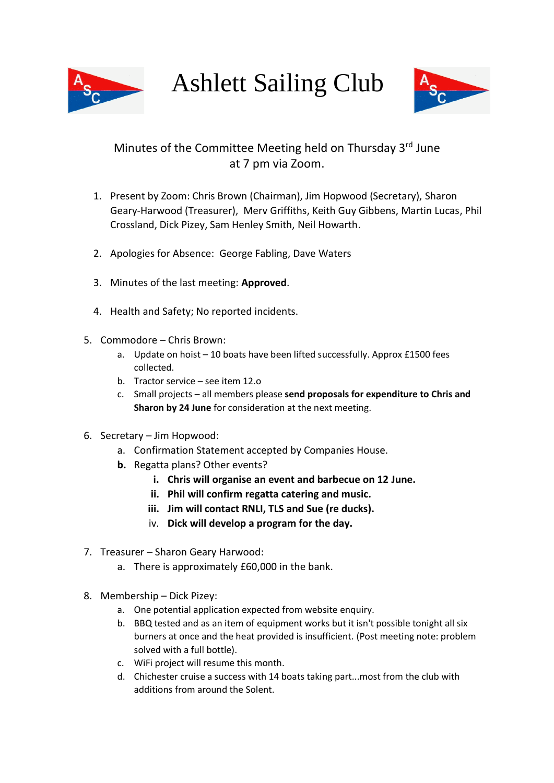

Ashlett Sailing Club



## Minutes of the Committee Meeting held on Thursday 3<sup>rd</sup> June at 7 pm via Zoom.

- 1. Present by Zoom: Chris Brown (Chairman), Jim Hopwood (Secretary), Sharon Geary-Harwood (Treasurer), Merv Griffiths, Keith Guy Gibbens, Martin Lucas, Phil Crossland, Dick Pizey, Sam Henley Smith, Neil Howarth.
- 2. Apologies for Absence: George Fabling, Dave Waters
- 3. Minutes of the last meeting: **Approved**.
- 4. Health and Safety; No reported incidents.
- 5. Commodore Chris Brown:
	- a. Update on hoist 10 boats have been lifted successfully. Approx £1500 fees collected.
	- b. Tractor service see item 12.o
	- c. Small projects all members please **send proposals for expenditure to Chris and Sharon by 24 June** for consideration at the next meeting.
- 6. Secretary Jim Hopwood:
	- a. Confirmation Statement accepted by Companies House.
	- **b.** Regatta plans? Other events?
		- **i. Chris will organise an event and barbecue on 12 June.**
		- **ii. Phil will confirm regatta catering and music.**
		- **iii. Jim will contact RNLI, TLS and Sue (re ducks).**
		- iv. **Dick will develop a program for the day.**
- 7. Treasurer Sharon Geary Harwood:
	- a. There is approximately £60,000 in the bank.
- 8. Membership Dick Pizey:
	- a. One potential application expected from website enquiry.
	- b. BBQ tested and as an item of equipment works but it isn't possible tonight all six burners at once and the heat provided is insufficient. (Post meeting note: problem solved with a full bottle).
	- c. WiFi project will resume this month.
	- d. Chichester cruise a success with 14 boats taking part...most from the club with additions from around the Solent.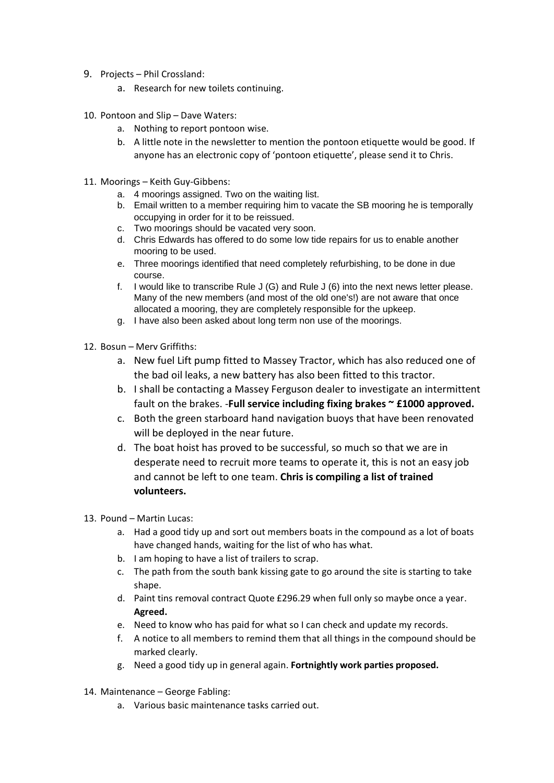- 9. Projects Phil Crossland:
	- a. Research for new toilets continuing.
- 10. Pontoon and Slip Dave Waters:
	- a. Nothing to report pontoon wise.
	- b. A little note in the newsletter to mention the pontoon etiquette would be good. If anyone has an electronic copy of 'pontoon etiquette', please send it to Chris.
- 11. Moorings Keith Guy-Gibbens:
	- a. 4 moorings assigned. Two on the waiting list.
	- b. Email written to a member requiring him to vacate the SB mooring he is temporally occupying in order for it to be reissued.
	- c. Two moorings should be vacated very soon.
	- d. Chris Edwards has offered to do some low tide repairs for us to enable another mooring to be used.
	- e. Three moorings identified that need completely refurbishing, to be done in due course.
	- f. I would like to transcribe Rule J (G) and Rule J (6) into the next news letter please. Many of the new members (and most of the old one's!) are not aware that once allocated a mooring, they are completely responsible for the upkeep.
	- g. I have also been asked about long term non use of the moorings.
- 12. Bosun Merv Griffiths:
	- a. New fuel Lift pump fitted to Massey Tractor, which has also reduced one of the bad oil leaks, a new battery has also been fitted to this tractor.
	- b. I shall be contacting a Massey Ferguson dealer to investigate an intermittent fault on the brakes. -**Full service including fixing brakes ~ £1000 approved.**
	- c. Both the green starboard hand navigation buoys that have been renovated will be deployed in the near future.
	- d. The boat hoist has proved to be successful, so much so that we are in desperate need to recruit more teams to operate it, this is not an easy job and cannot be left to one team. **Chris is compiling a list of trained volunteers.**
- 13. Pound Martin Lucas:
	- a. Had a good tidy up and sort out members boats in the compound as a lot of boats have changed hands, waiting for the list of who has what.
	- b. I am hoping to have a list of trailers to scrap.
	- c. The path from the south bank kissing gate to go around the site is starting to take shape.
	- d. Paint tins removal contract Quote £296.29 when full only so maybe once a year. **Agreed.**
	- e. Need to know who has paid for what so I can check and update my records.
	- f. A notice to all members to remind them that all things in the compound should be marked clearly.
	- g. Need a good tidy up in general again. **Fortnightly work parties proposed.**
- 14. Maintenance George Fabling:
	- a. Various basic maintenance tasks carried out.